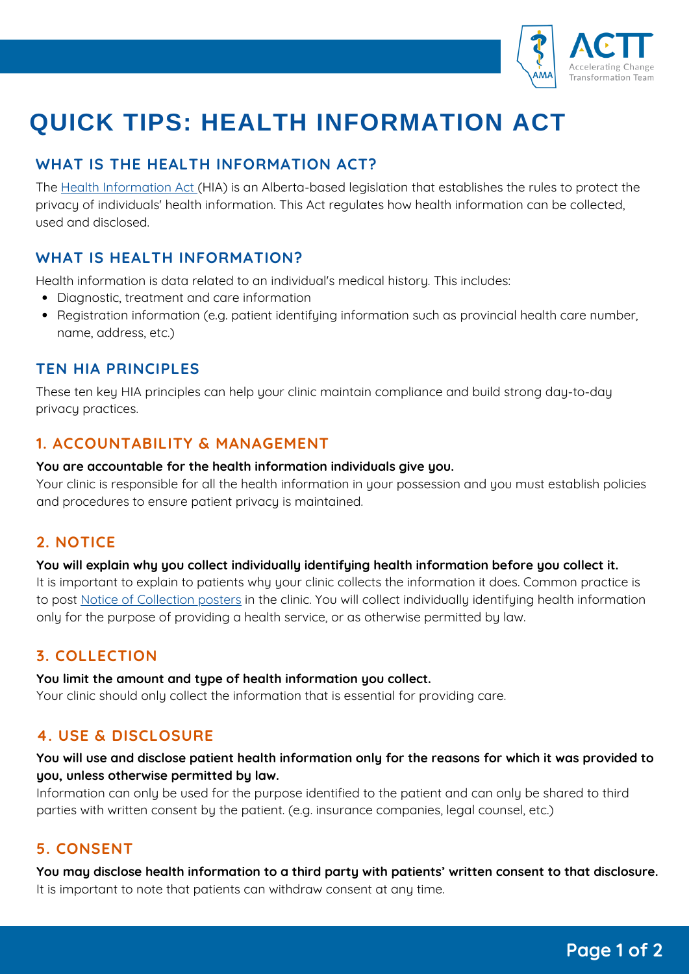

# **QUICK TIPS: HEALTH INFORMATION ACT**

# **WHAT IS THE HEALTH INFORMATION ACT?**

The Health [Information](https://www.qp.alberta.ca/1266.cfm?page=H05.cfm&leg_type=Acts) Act (HIA) is an Alberta-based legislation that establishes the rules to protect the privacy of individuals' health information. This Act regulates how health information can be collected, used and disclosed.

# **WHAT IS HEALTH INFORMATION?**

Health information is data related to an individual's medical history. This includes:

- Diagnostic, treatment and care information
- Registration information (e.g. patient identifying information such as provincial health care number, name, address, etc.)

## **TEN HIA PRINCIPLES**

These ten key HIA principles can help your clinic maintain compliance and build strong day-to-day privacy practices.

## **1. ACCOUNTABILITY & MANAGEMENT**

#### **You are accountable for the health information individuals give you.**

Your clinic is responsible for all the health information in your possession and you must establish policies and procedures to ensure patient privacy is maintained.

## **2. NOTICE**

### **You will explain why you collect individually identifying health information before you collect it.**

It is important to explain to patients why your clinic collects the information it does. Common practice is to post Notice of [Collection](https://www.albertadoctors.org/emr_resources/notice-of-collection-poster.docx) posters in the clinic. You will collect individually identifying health information only for the purpose of providing a health service, or as otherwise permitted by law.

## **3. COLLECTION**

### **You limit the amount and type of health information you collect.**

Your clinic should only collect the information that is essential for providing care.

## **4. USE & DISCLOSURE**

### You will use and disclose patient health information only for the reasons for which it was provided to **you, unless otherwise permitted by law.**

Information can only be used for the purpose identified to the patient and can only be shared to third parties with written consent by the patient. (e.g. insurance companies, legal counsel, etc.)

## **5. CONSENT**

**You may disclose health information to a third party with patients' written consent to that disclosure.** It is important to note that patients can withdraw consent at any time.